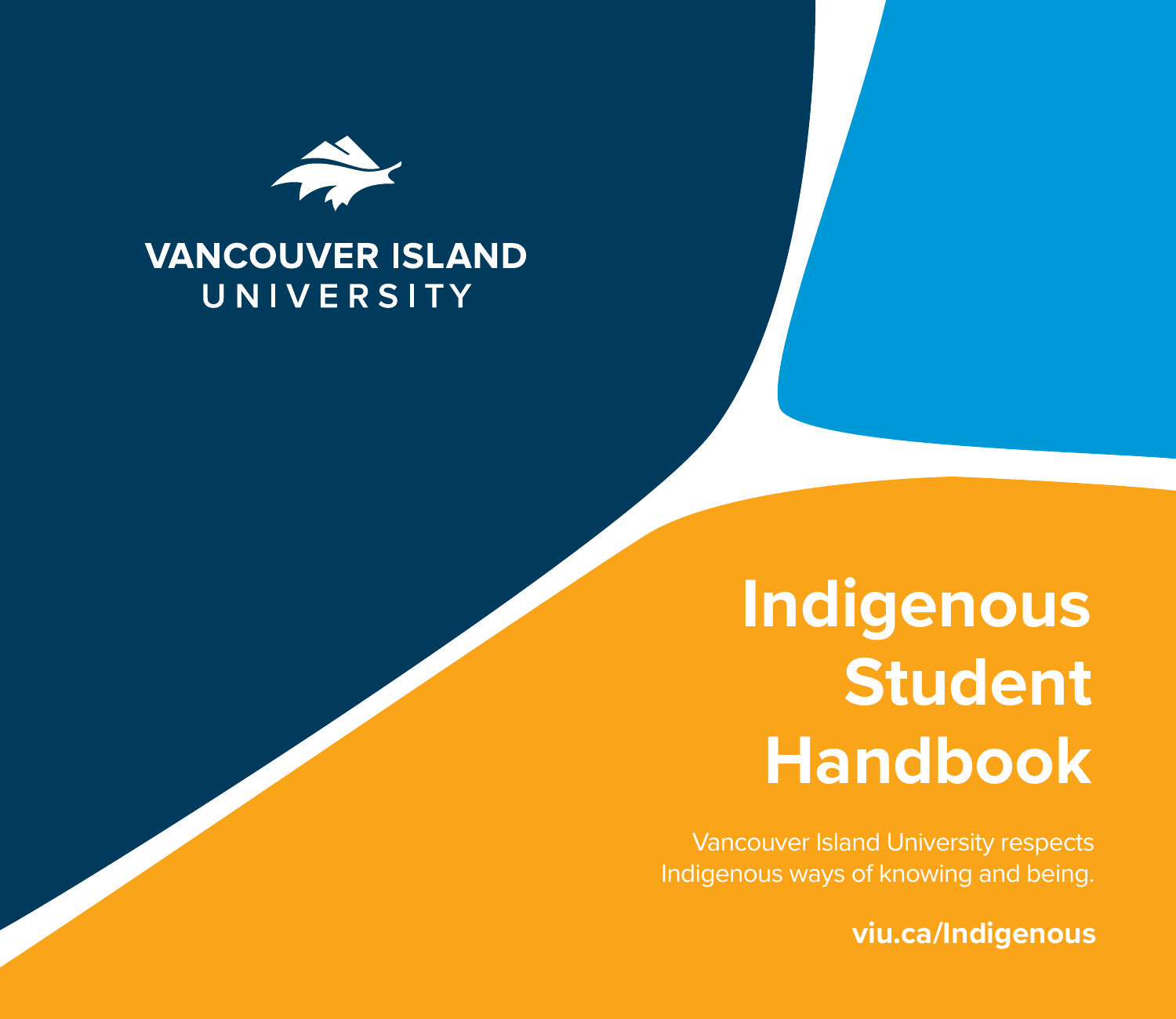

### **VANCOUVER ISLAND** UNIVERSITY

# **Indigenous Student Handbook**

Vancouver Island University respects Indigenous ways of knowing and being.

**viu.ca/Indigenous**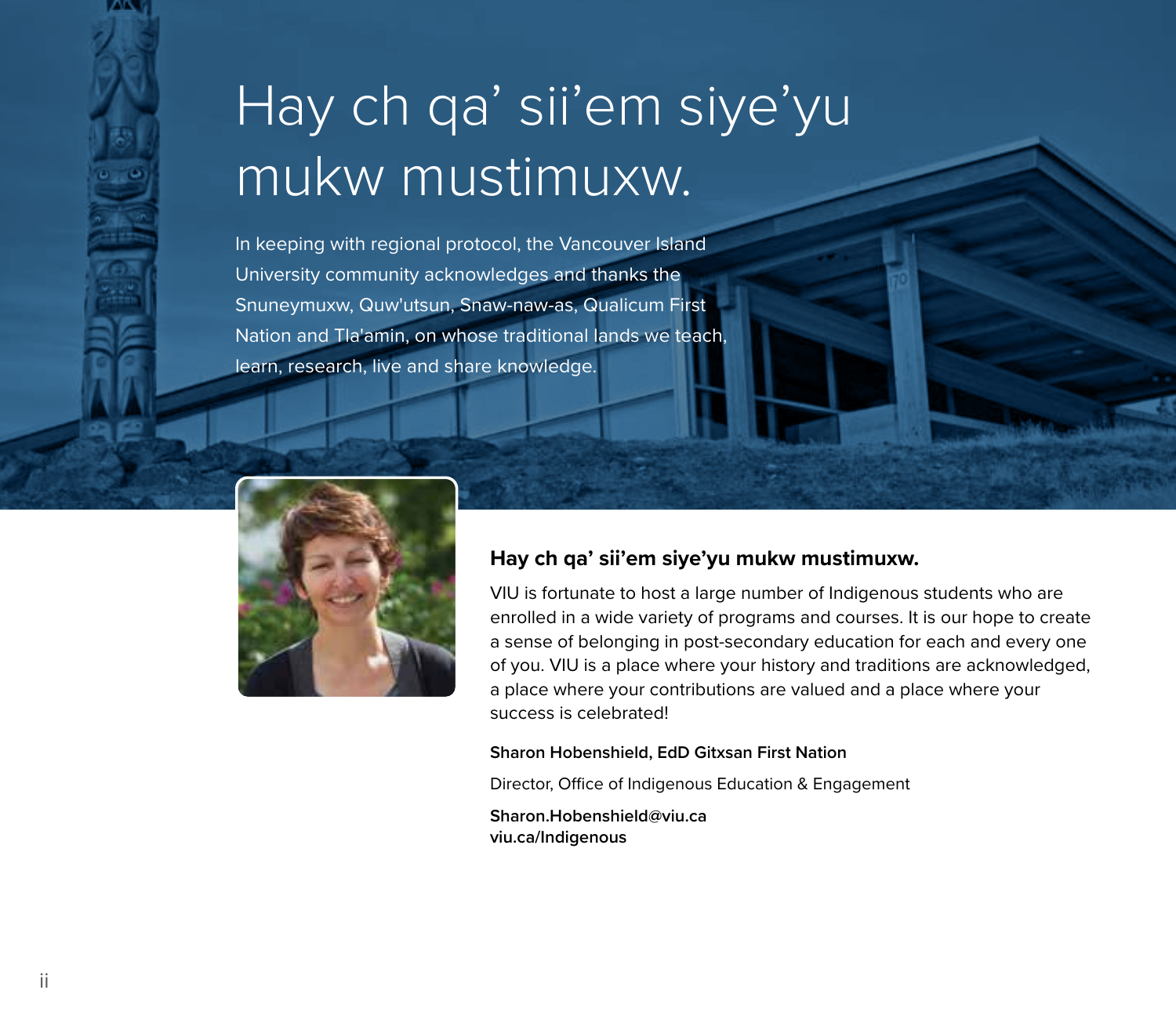# Hay ch qa' sii'em siye'yu mukw mustimuxw.

In keeping with regional protocol, the Vancouver Island University community acknowledges and thanks the Snuneymuxw, Quw'utsun, Snaw-naw-as, Qualicum First Nation and Tla'amin, on whose traditional lands we teach, learn, research, live and share knowledge.



#### **Hay ch qa' sii'em siye'yu mukw mustimuxw.**

VIU is fortunate to host a large number of Indigenous students who are enrolled in a wide variety of programs and courses. It is our hope to create a sense of belonging in post-secondary education for each and every one of you. VIU is a place where your history and traditions are acknowledged, a place where your contributions are valued and a place where your success is celebrated!

#### **Sharon Hobenshield, EdD Gitxsan First Nation**

Director, Office of Indigenous Education & Engagement

**Sharon.Hobenshield@viu.ca viu.ca/Indigenous**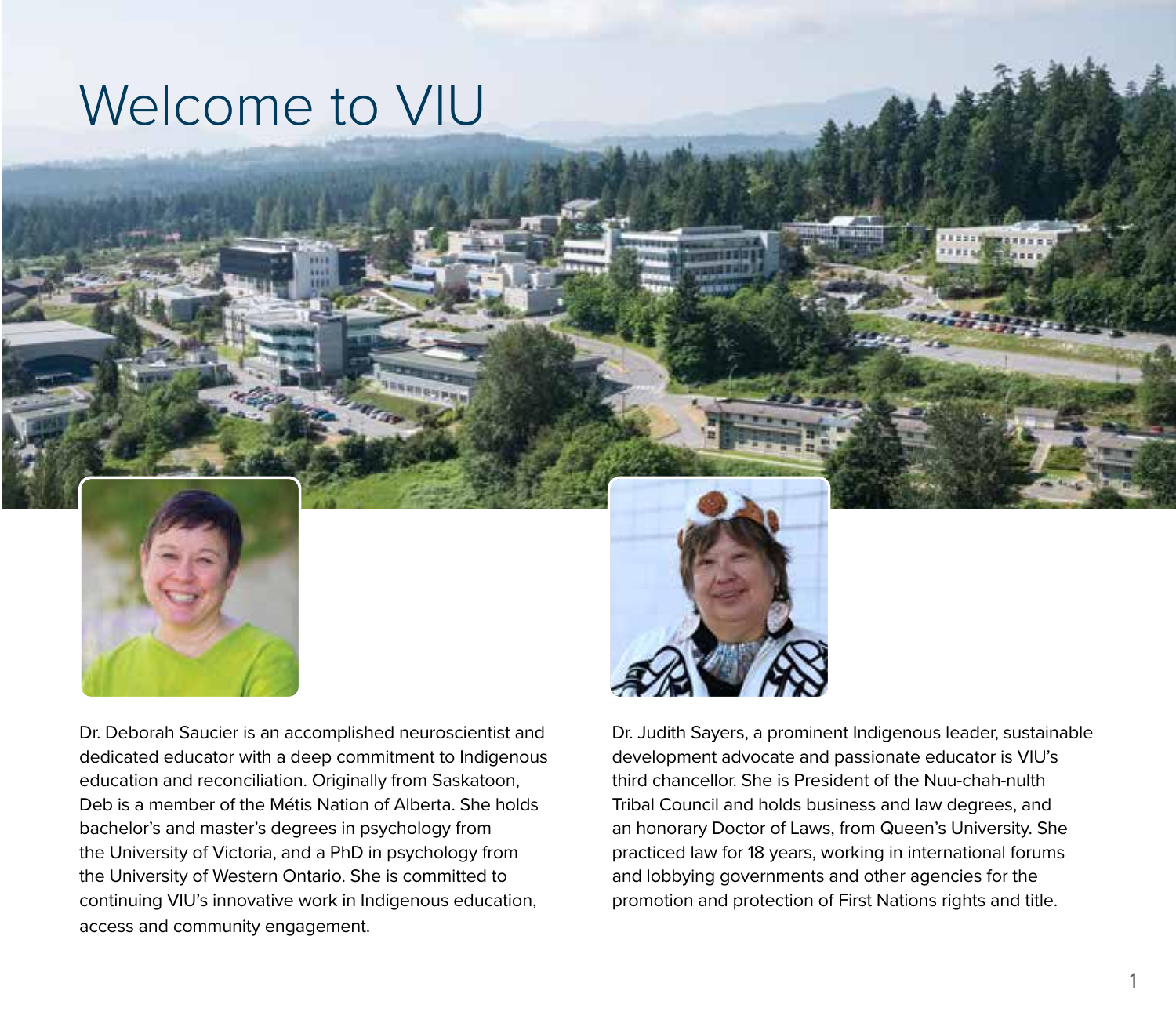### Welcome to VIU



Dr. Deborah Saucier is an accomplished neuroscientist and dedicated educator with a deep commitment to Indigenous education and reconciliation. Originally from Saskatoon, Deb is a member of the Métis Nation of Alberta. She holds bachelor's and master's degrees in psychology from the University of Victoria, and a PhD in psychology from the University of Western Ontario. She is committed to continuing VIU's innovative work in Indigenous education, access and community engagement.

Dr. Judith Sayers, a prominent Indigenous leader, sustainable development advocate and passionate educator is VIU's third chancellor. She is President of the Nuu-chah-nulth Tribal Council and holds business and law degrees, and an honorary Doctor of Laws, from Queen's University. She practiced law for 18 years, working in international forums and lobbying governments and other agencies for the promotion and protection of First Nations rights and title.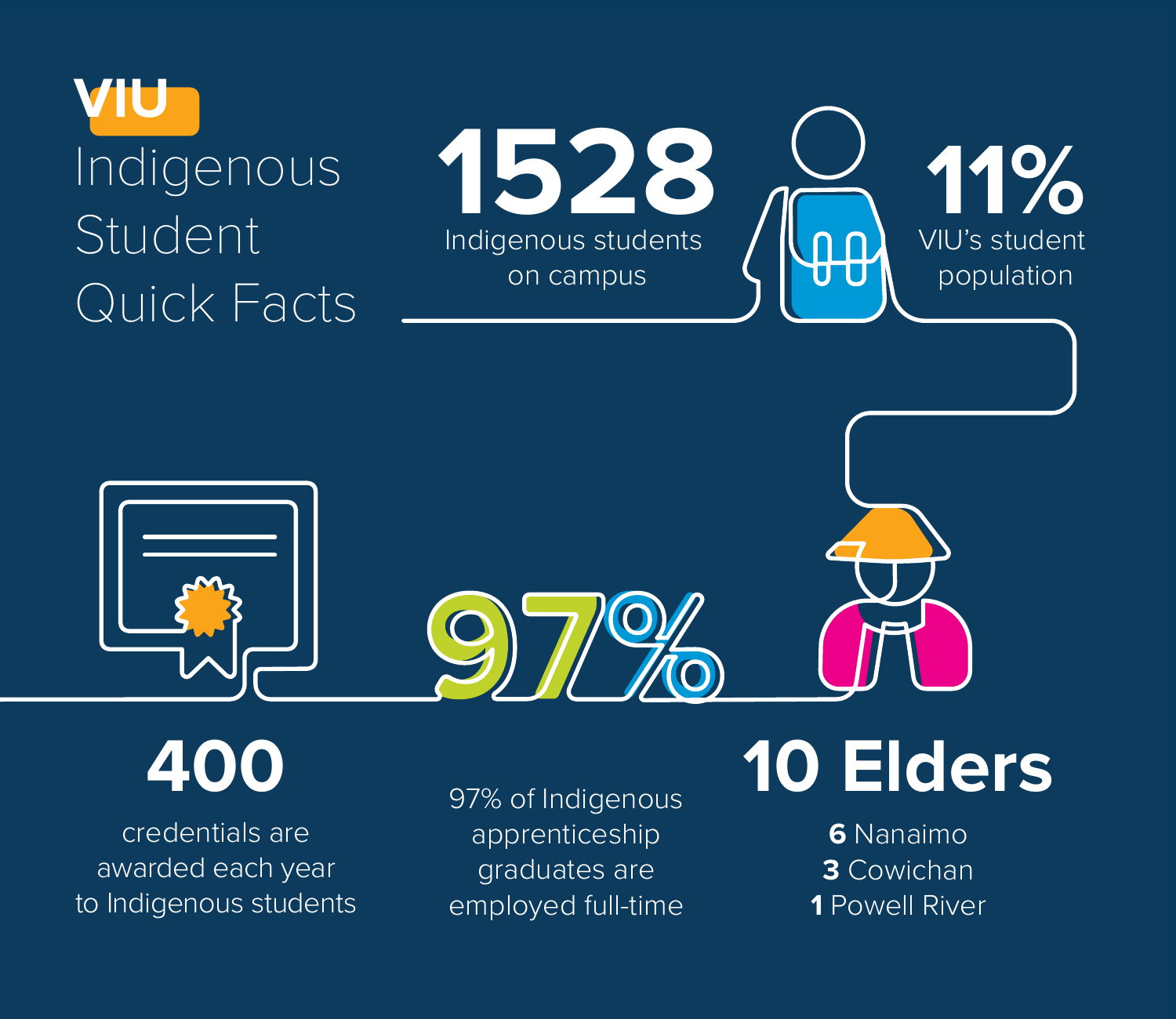### **VIU**  Indigenous Student Quick Facts

**1528** Indigenous students on campus VIU's student **11%** population





**400** 

credentials are awarded each year to Indigenous students 97% of Indigenous apprenticeship graduates are employed full-time

# **10 Elders**

**6** Nanaimo **3** Cowichan **1** Powell River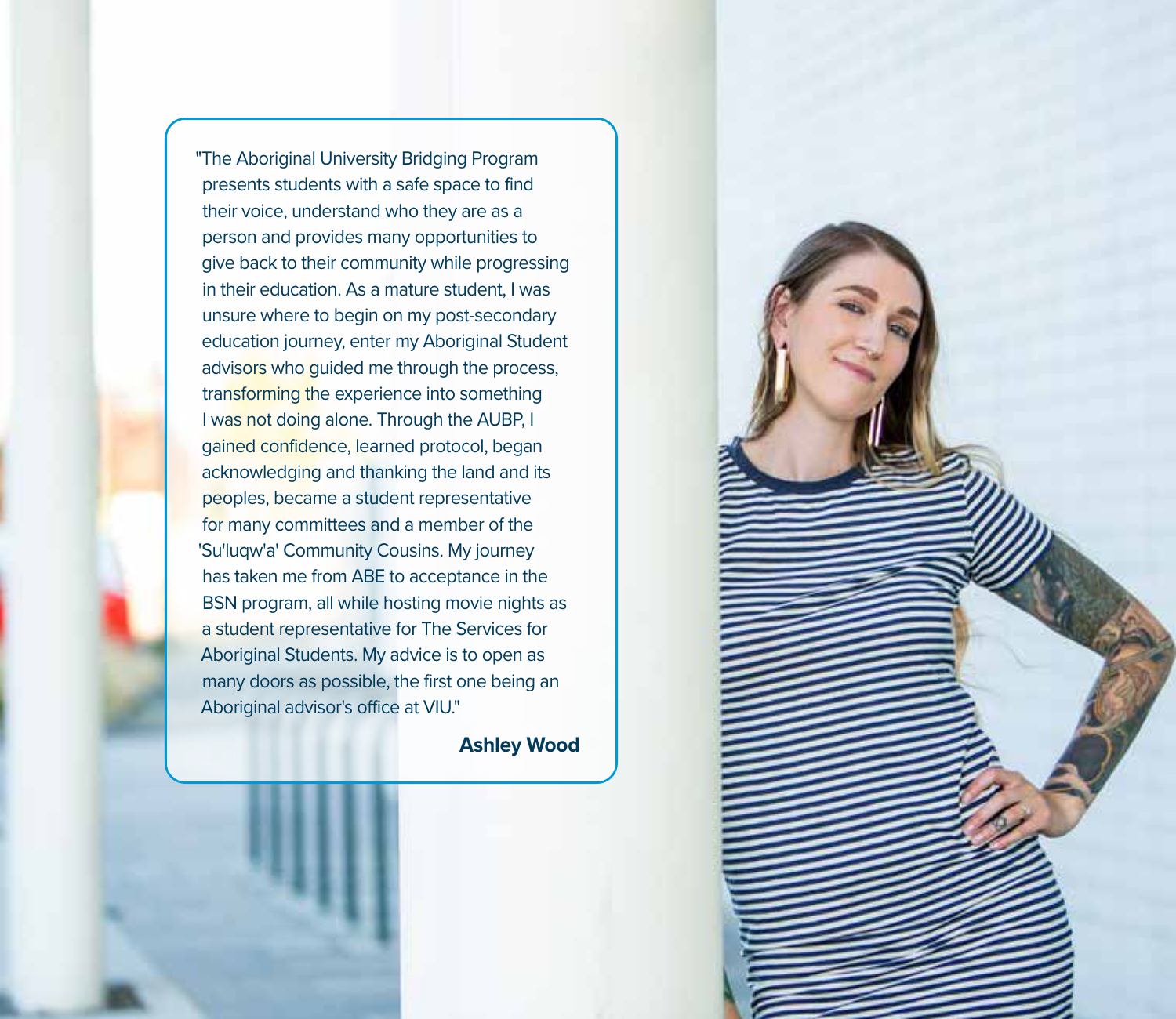"The Aboriginal University Bridging Program presents students with a safe space to find their voice, understand who they are as a person and provides many opportunities to give back to their community while progressing in their education. As a mature student, I was unsure where to begin on my post-secondary education journey, enter my Aboriginal Student advisors who guided me through the process, transforming the experience into something I was not doing alone. Through the AUBP, I gained confidence, learned protocol, began acknowledging and thanking the land and its peoples, became a student representative for many committees and a member of the 'Su'luqw'a' Community Cousins. My journey has taken me from ABE to acceptance in the BSN program, all while hosting movie nights as a student representative for The Services for Aboriginal Students. My advice is to open as many doors as possible, the first one being an Aboriginal advisor's office at VIU."

**Ashley Wood**

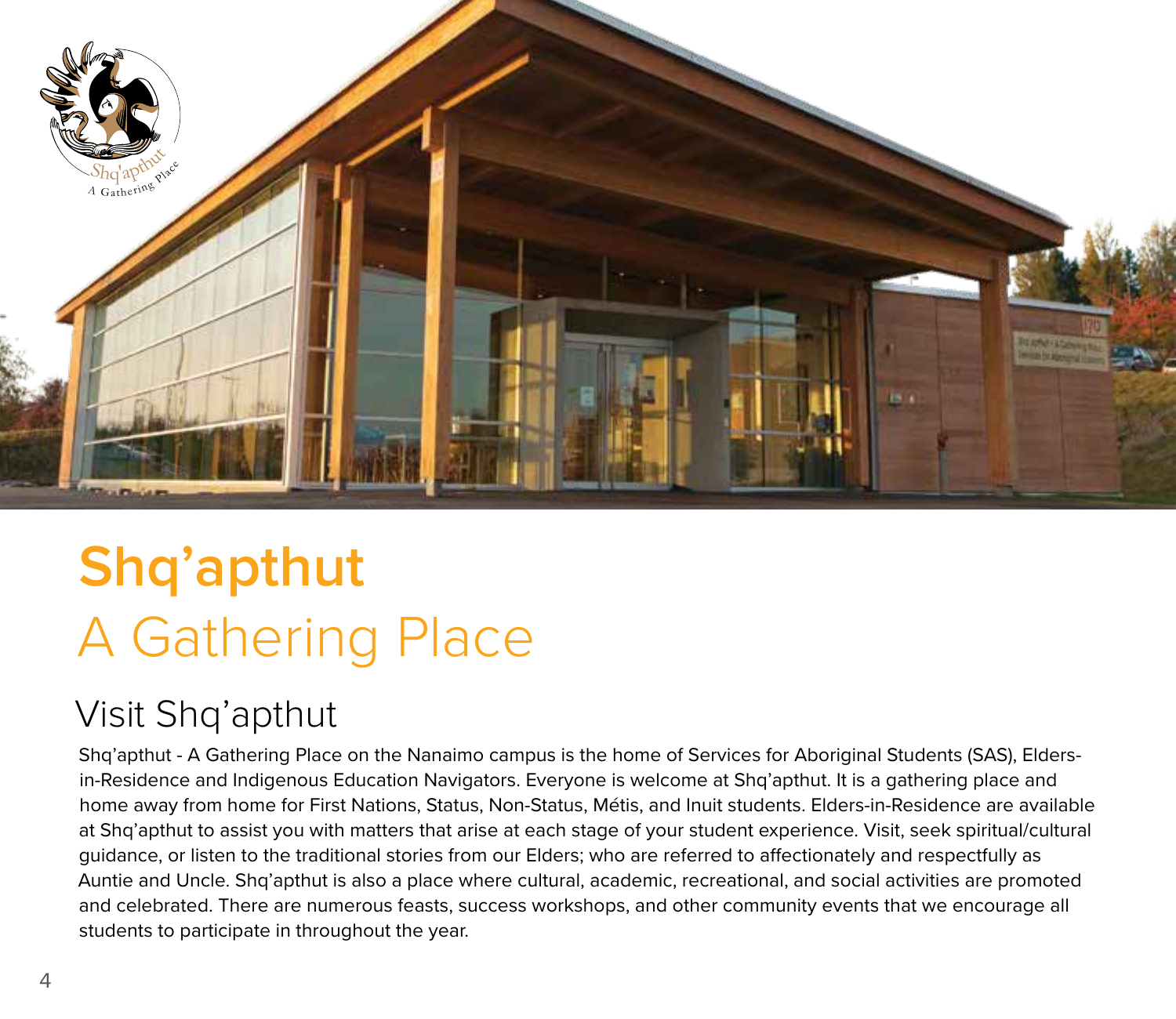

# **Shq'apthut**  A Gathering Place

### Visit Shq'apthut

Shq'apthut - A Gathering Place on the Nanaimo campus is the home of Services for Aboriginal Students (SAS), Eldersin-Residence and Indigenous Education Navigators. Everyone is welcome at Shq'apthut. It is a gathering place and home away from home for First Nations, Status, Non-Status, Métis, and Inuit students. Elders-in-Residence are available at Shq'apthut to assist you with matters that arise at each stage of your student experience. Visit, seek spiritual/cultural guidance, or listen to the traditional stories from our Elders; who are referred to affectionately and respectfully as Auntie and Uncle. Shq'apthut is also a place where cultural, academic, recreational, and social activities are promoted and celebrated. There are numerous feasts, success workshops, and other community events that we encourage all students to participate in throughout the year.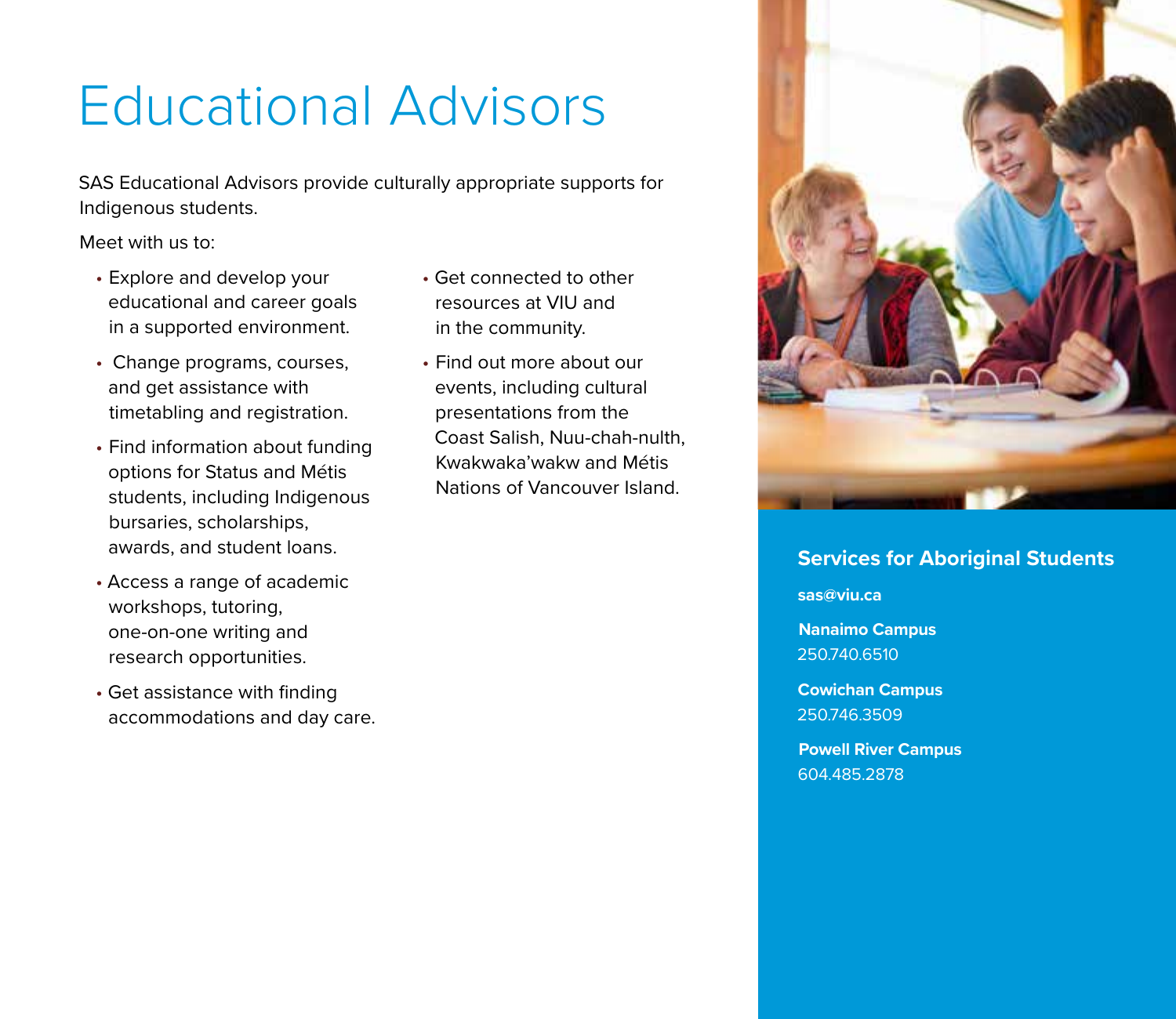### Educational Advisors

SAS Educational Advisors provide culturally appropriate supports for Indigenous students.

Meet with us to:

- Explore and develop your educational and career goals in a supported environment.
- Change programs, courses, and get assistance with timetabling and registration.
- Find information about funding options for Status and Métis students, including Indigenous bursaries, scholarships, awards, and student loans.
- Access a range of academic workshops, tutoring, one-on-one writing and research opportunities.
- Get assistance with finding accommodations and day care.
- Get connected to other resources at VIU and in the community.
- Find out more about our events, including cultural presentations from the Coast Salish, Nuu-chah-nulth, Kwakwaka'wakw and Métis Nations of Vancouver Island.



#### **Services for Aboriginal Students**

**sas@viu.ca** 

**Nanaimo Campus** 250.740.6510

**Cowichan Campus**  250.746.3509

**Powell River Campus**  604.485.2878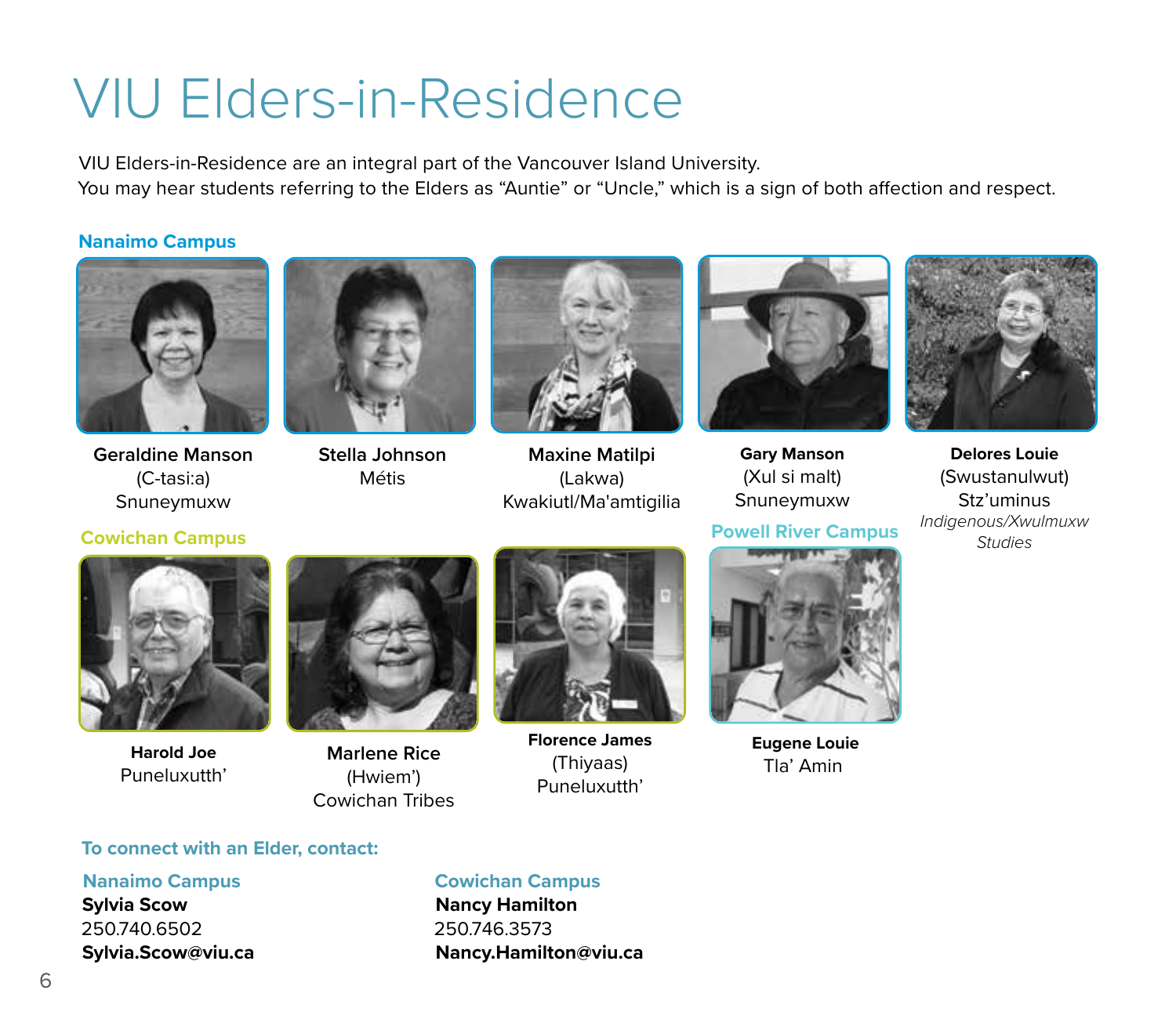### VIU Elders-in-Residence

VIU Elders-in-Residence are an integral part of the Vancouver Island University. You may hear students referring to the Elders as "Auntie" or "Uncle," which is a sign of both affection and respect.

#### **Nanaimo Campus**



**Geraldine Manson** (C-tasi:a) Snuneymuxw



**Stella Johnson** Métis



**Maxine Matilpi**  (Lakwa) Kwakiutl/Ma'amtigilia



**Gary Manson** (Xul si malt) Snuneymuxw

**Powell River Campus**



**Delores Louie** (Swustanulwut) Stz'uminus *Indigenous/Xwulmuxw* **Cowichan Campus** *Studies*



**Harold Joe** Puneluxutth'



**Marlene Rice** (Hwiem') Cowichan Tribes



**Florence James**  (Thiyaas) Puneluxutth'



**Eugene Louie** Tla' Amin

#### **To connect with an Elder, contact:**

#### **Nanaimo Campus**

**Sylvia Scow**  250.740.6502 **Sylvia.Scow@viu.ca**

#### **Cowichan Campus**

**Nancy Hamilton**  250.746.3573 **Nancy.Hamilton@viu.ca**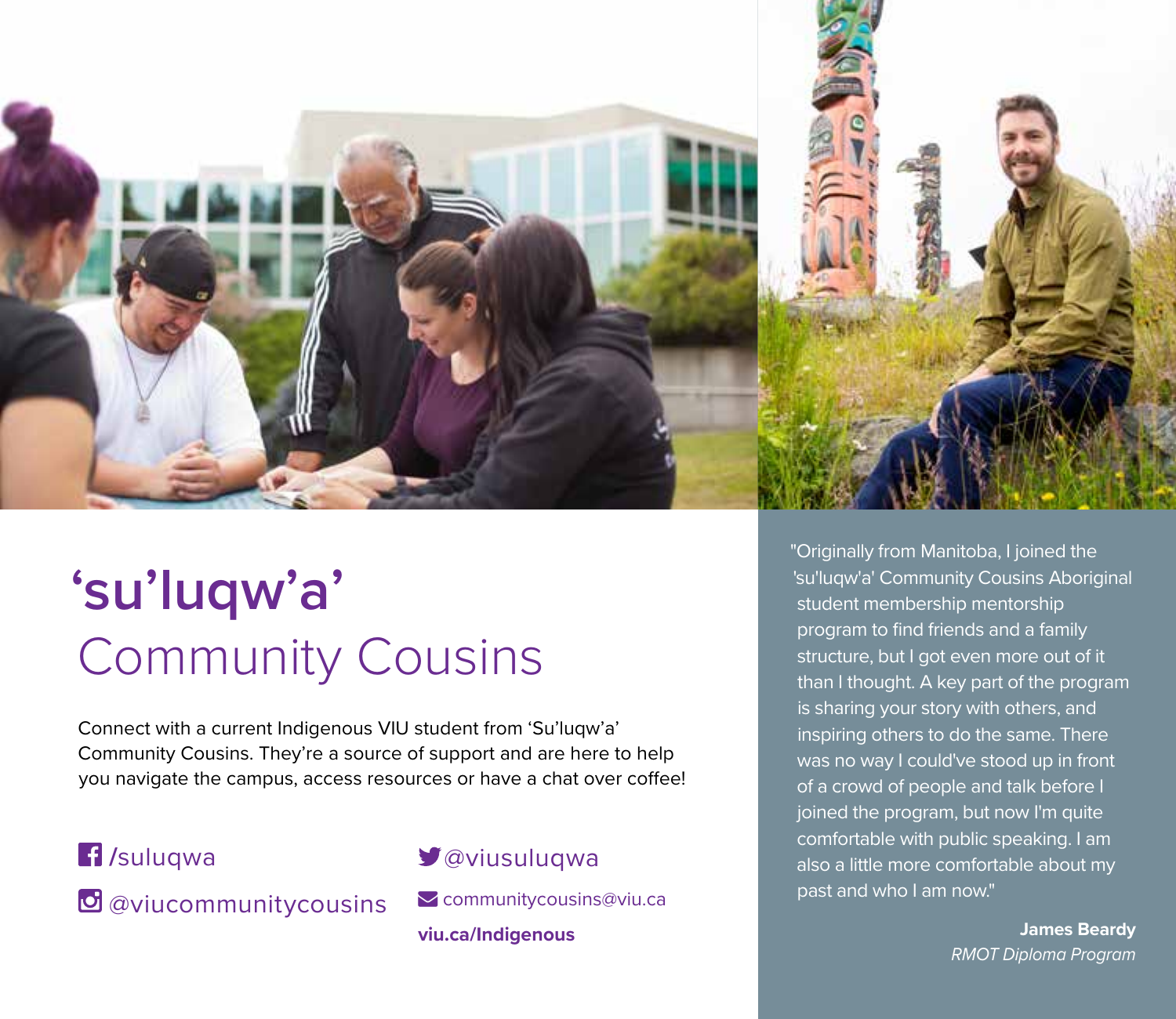

### **'su'luqw'a'**  Community Cousins

Connect with a current Indigenous VIU student from 'Su'luqw'a' Community Cousins. They're a source of support and are here to help you navigate the campus, access resources or have a chat over coffee!

### **/**suluqwa

*O* @viucommunitycousins

#### @viusuluqwa

Communitycousins@viu.ca **viu.ca/Indigenous**

"Originally from Manitoba, I joined the 'su'luqw'a' Community Cousins Aboriginal student membership mentorship program to find friends and a family structure, but I got even more out of it than I thought. A key part of the program is sharing your story with others, and inspiring others to do the same. There was no way I could've stood up in front of a crowd of people and talk before I joined the program, but now I'm quite comfortable with public speaking. I am also a little more comfortable about my past and who I am now."

> **James Beardy** *RMOT Diploma Program*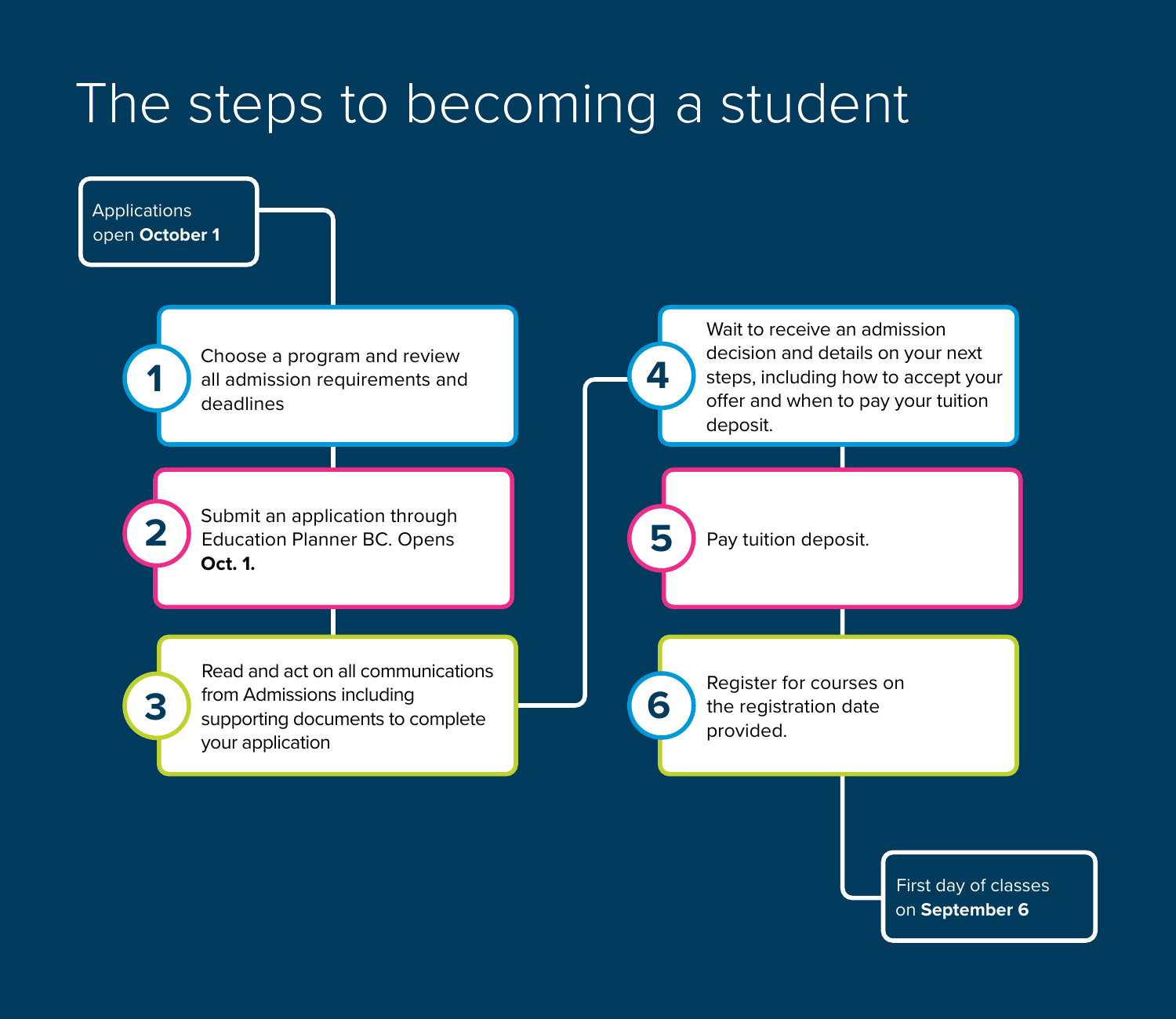### The steps to becoming a student



First day of classes on **September 6**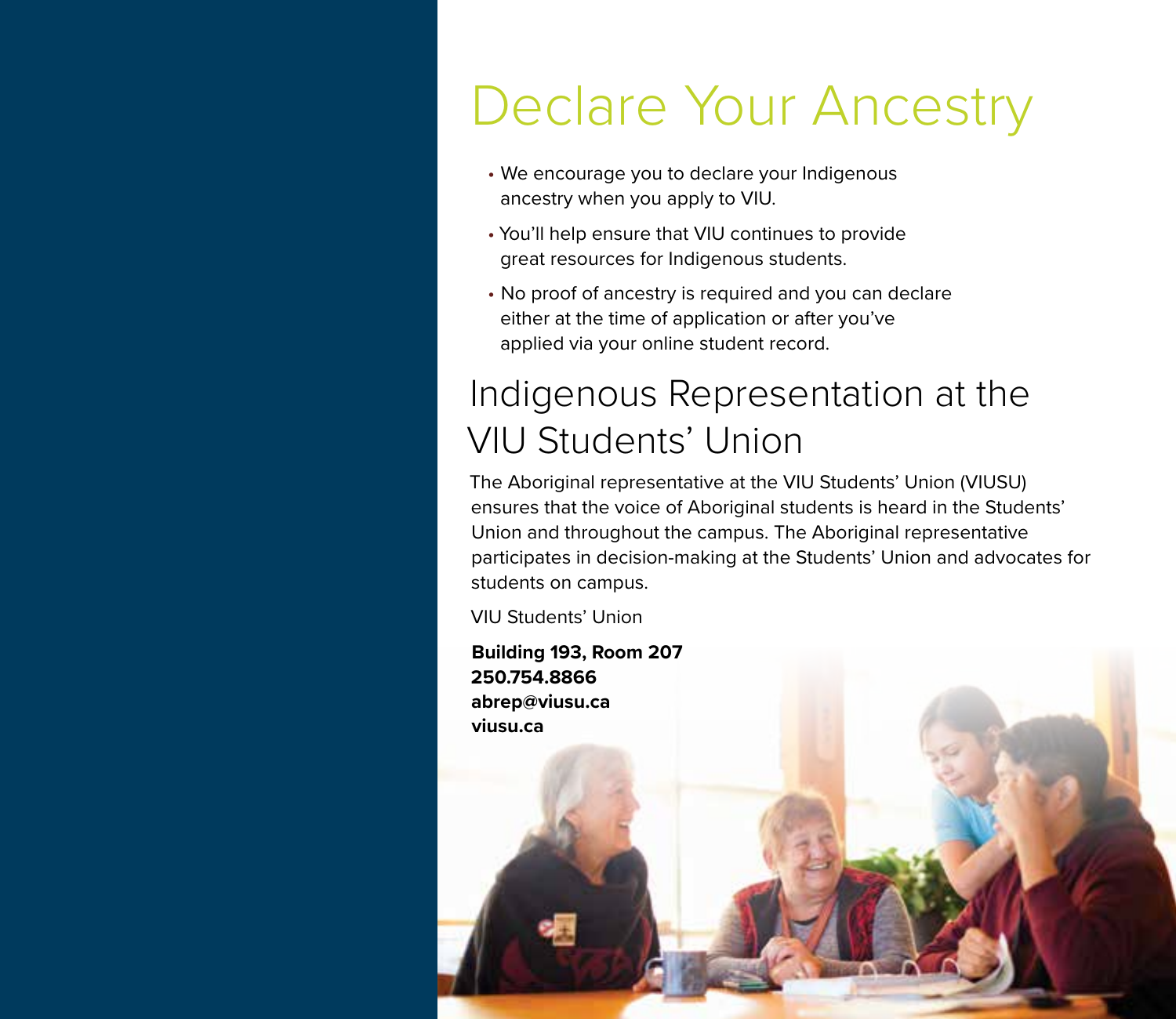### Declare Your Ancestry

- We encourage you to declare your Indigenous ancestry when you apply to VIU.
- You'll help ensure that VIU continues to provide great resources for Indigenous students.
- No proof of ancestry is required and you can declare either at the time of application or after you've applied via your online student record.

### Indigenous Representation at the VIU Students' Union

The Aboriginal representative at the VIU Students' Union (VIUSU) ensures that the voice of Aboriginal students is heard in the Students' Union and throughout the campus. The Aboriginal representative participates in decision-making at the Students' Union and advocates for students on campus.

VIU Students' Union

**Building 193, Room 207**

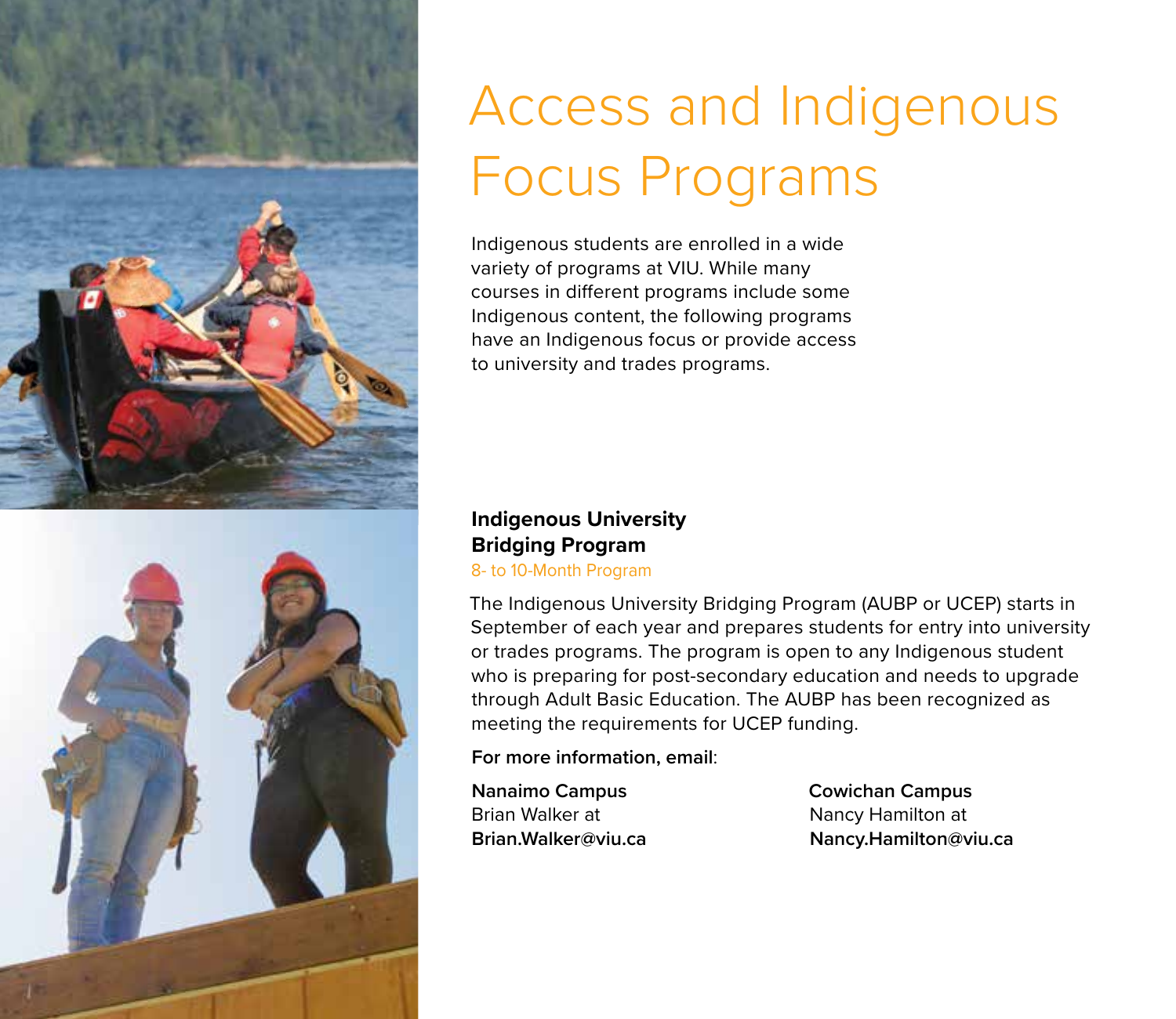

# Access and Indigenous Focus Programs

Indigenous students are enrolled in a wide variety of programs at VIU. While many courses in different programs include some Indigenous content, the following programs have an Indigenous focus or provide access to university and trades programs.

#### **Indigenous University Bridging Program**

8- to 10-Month Program

The Indigenous University Bridging Program (AUBP or UCEP) starts in September of each year and prepares students for entry into university or trades programs. The program is open to any Indigenous student who is preparing for post-secondary education and needs to upgrade through Adult Basic Education. The AUBP has been recognized as meeting the requirements for UCEP funding.

**For more information, email**:

**Nanaimo Campus** Brian Walker at **Brian.Walker@viu.ca** **Cowichan Campus**  Nancy Hamilton at **Nancy.Hamilton@viu.ca**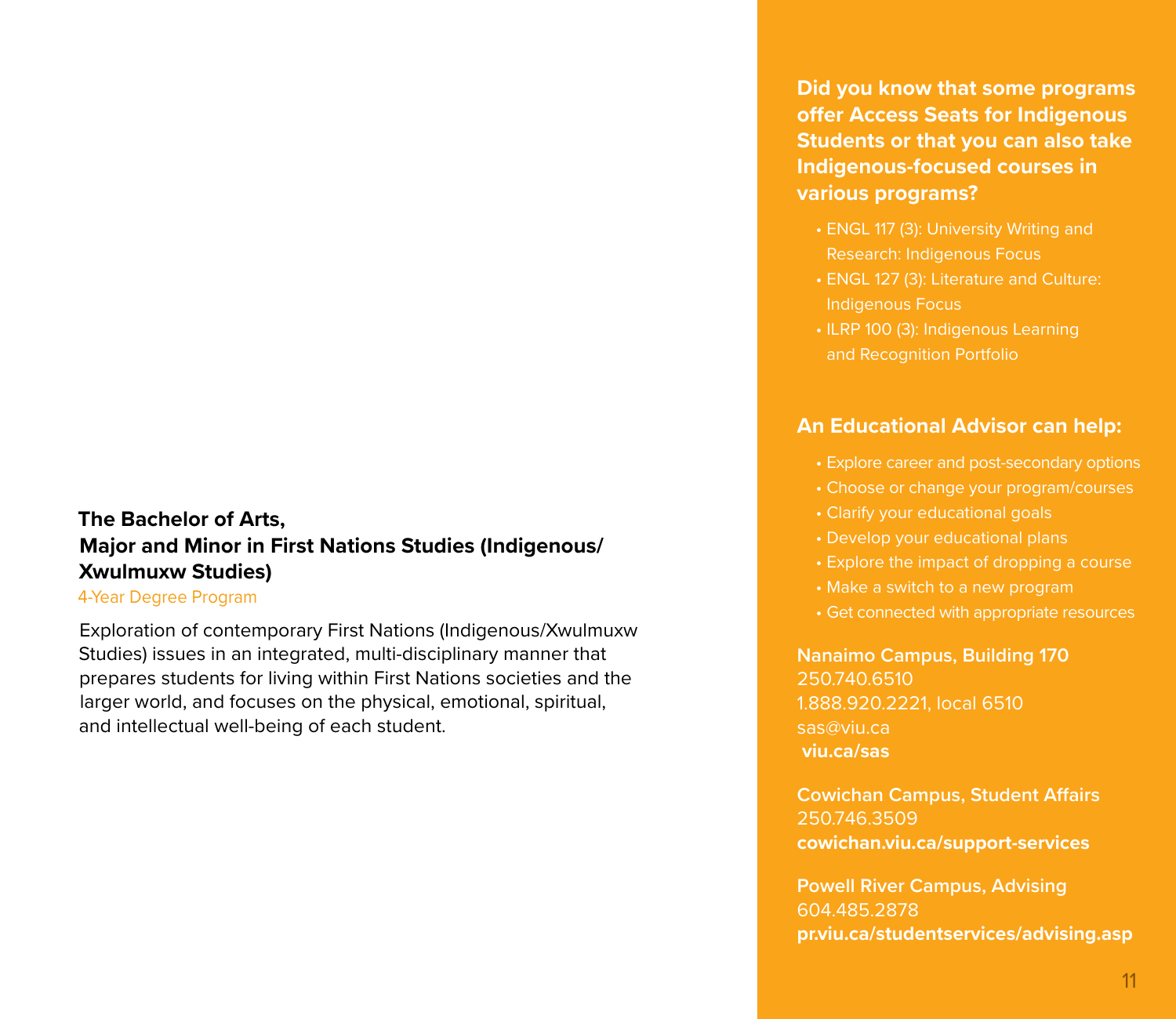#### **The Bachelor of Arts, Major and Minor in First Nations Studies (Indigenous/ Xwulmuxw Studies)**

#### 4-Year Degree Program

Exploration of contemporary First Nations (Indigenous/Xwulmuxw Studies) issues in an integrated, multi-disciplinary manner that prepares students for living within First Nations societies and the larger world, and focuses on the physical, emotional, spiritual, and intellectual well-being of each student.

**Did you know that some programs offer Access Seats for Indigenous Students or that you can also take Indigenous-focused courses in various programs?** 

- ENGL 117 (3): University Writing and
- ENGL 127 (3): Literature and Culture: Indigenous Focus
- ILRP 100 (3): Indigenous Learning and Recognition Portfolio

#### **An Educational Advisor can help:**

- 
- Choose or change your program/courses
- Clarify your educational goals
- Develop your educational plans
- Explore the impact of dropping a course
- 
- Get connected with appropriate resources

**Nanaimo Campus, Building 170**  250.740.6510 1.888.920.2221, local 6510 sas@viu.ca  **viu.ca/sas**

**Cowichan Campus, Student Affairs** 250.746.3509 **cowichan.viu.ca/support-services** 

**Powell River Campus, Advising** 604.485.2878 **pr.viu.ca/studentservices/advising.asp**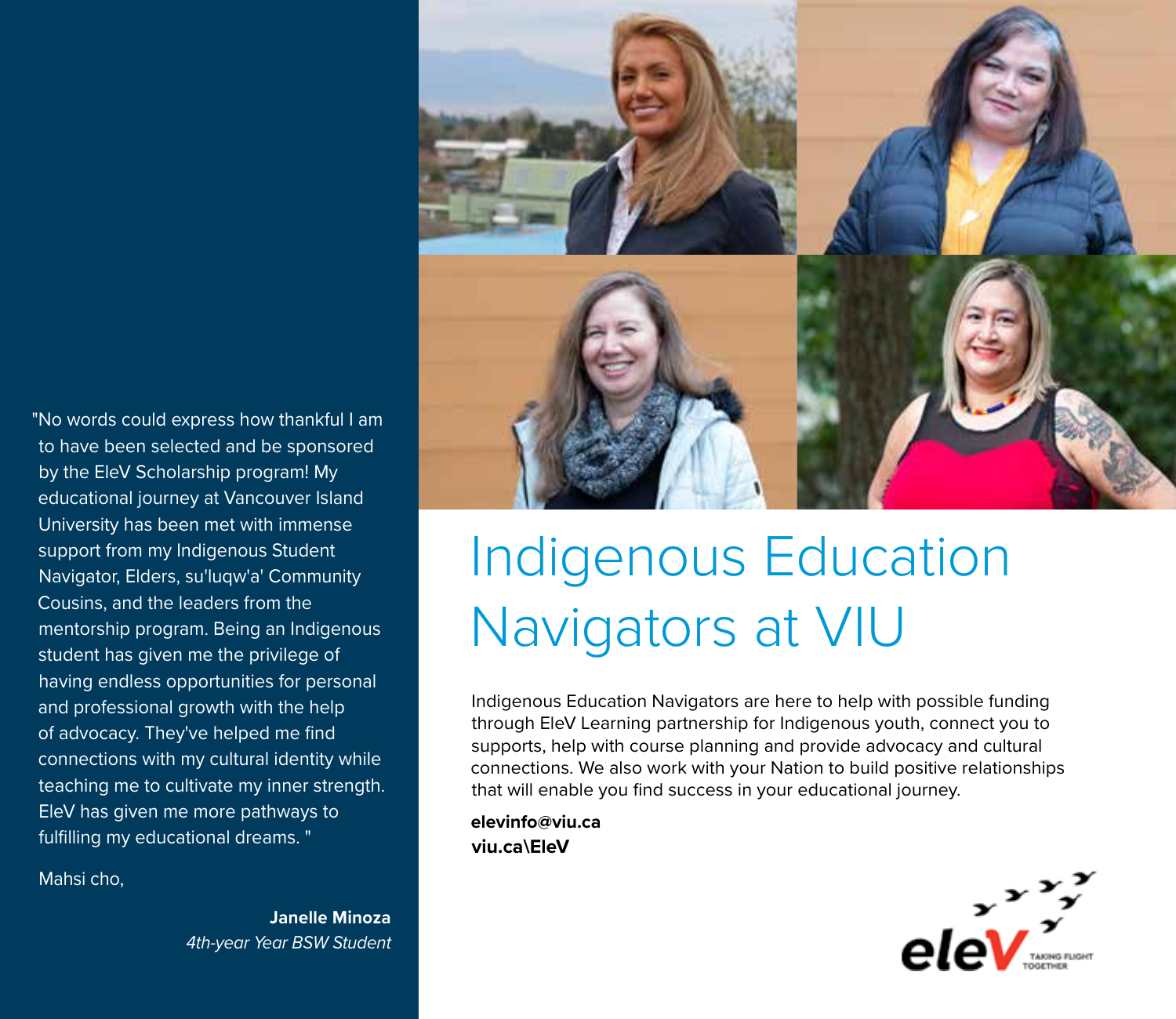"No words could express how thankful I am to have been selected and be sponsored by the EleV Scholarship program! My educational journey at Vancouver Island University has been met with immense support from my Indigenous Student Navigator, Elders, su'luqw'a' Community Cousins, and the leaders from the mentorship program. Being an Indigenous student has given me the privilege of having endless opportunities for personal and professional growth with the help of advocacy. They've helped me find connections with my cultural identity while teaching me to cultivate my inner strength. EleV has given me more pathways to fulfilling my educational dreams. "

Mahsi cho,

**Janelle Minoza**  *4th-year Year BSW Student*



### Indigenous Education Navigators at VIU

Indigenous Education Navigators are here to help with possible funding through EleV Learning partnership for Indigenous youth, connect you to supports, help with course planning and provide advocacy and cultural connections. We also work with your Nation to build positive relationships that will enable you find success in your educational journey.

**elevinfo@viu.ca viu.ca\EleV**

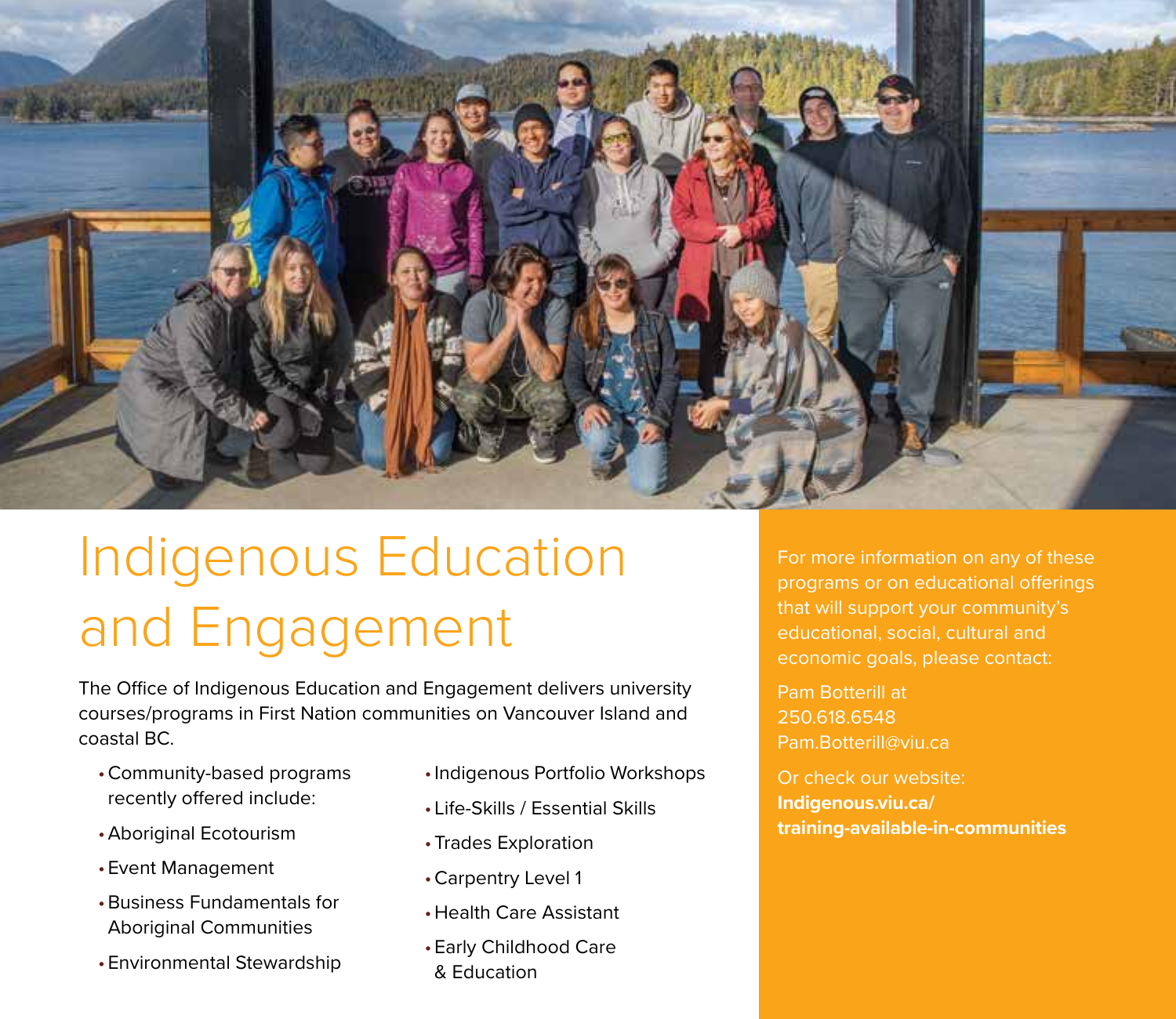

### Indigenous Education and Engagement

The Office of Indigenous Education and Engagement delivers university courses/programs in First Nation communities on Vancouver Island and coastal BC.

- •Community-based programs recently offered include:
- •Aboriginal Ecotourism
- •Event Management
- •Business Fundamentals for Aboriginal Communities
- •Environmental Stewardship
- •Indigenous Portfolio Workshops
- Life-Skills / Essential Skills
- •Trades Exploration
- •Carpentry Level 1
- •Health Care Assistant
- •Early Childhood Care & Education

For more information on any of these programs or on educational offerings that will support your community's educational, social, cultural and economic goals, please contact:

Pam Botterill at 250.618.6548 Pam.Botterill@viu.ca

Or check our website: **Indigenous.viu.ca/ training-available-in-communities**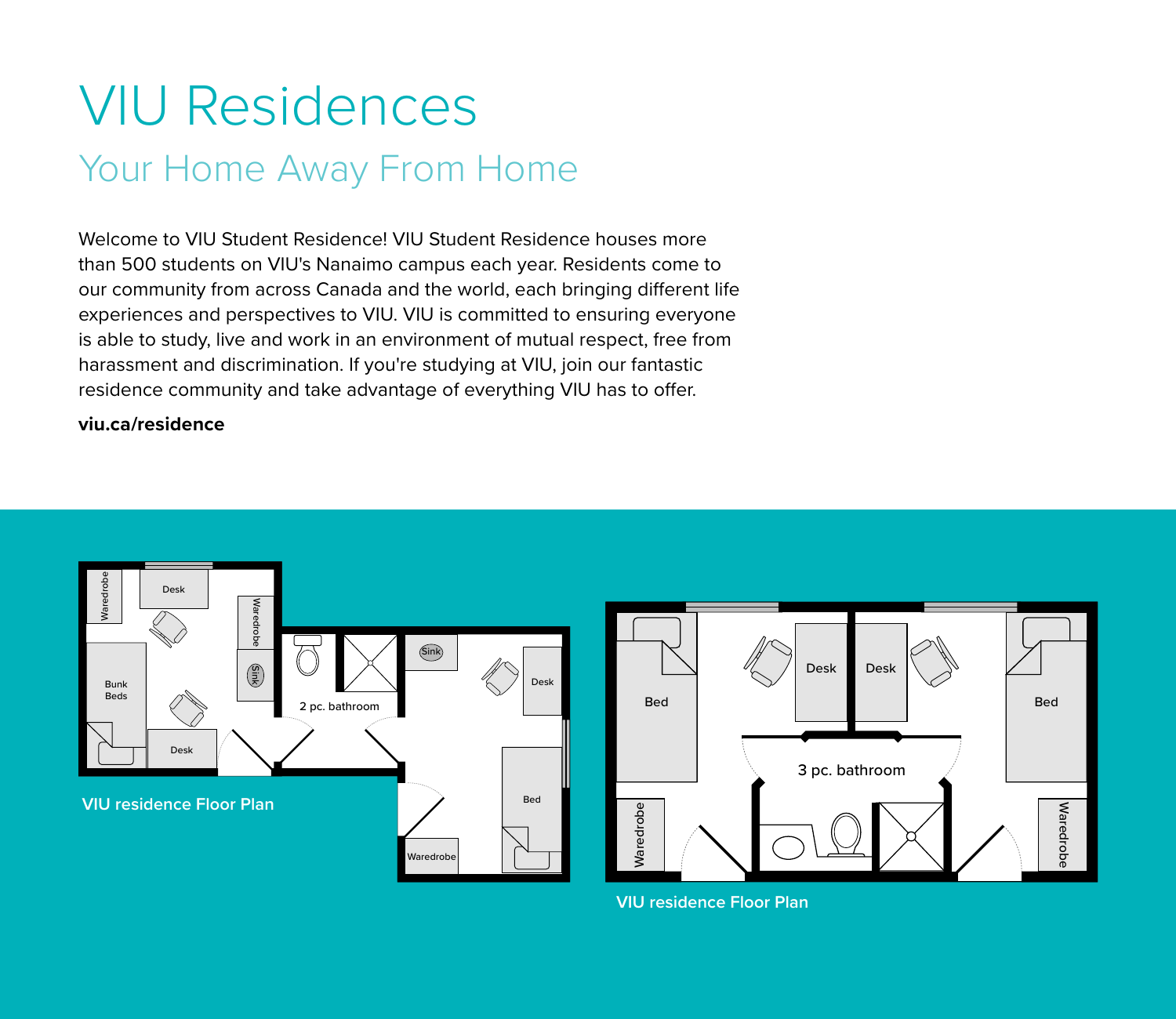### VIU Residences Your Home Away From Home

Welcome to VIU Student Residence! VIU Student Residence houses more than 500 students on VIU's Nanaimo campus each year. Residents come to our community from across Canada and the world, each bringing different life experiences and perspectives to VIU. VIU is committed to ensuring everyone is able to study, live and work in an environment of mutual respect, free from harassment and discrimination. If you're studying at VIU, join our fantastic residence community and take advantage of everything VIU has to offer.

#### **viu.ca/residence**





**VIU residence Floor Plan**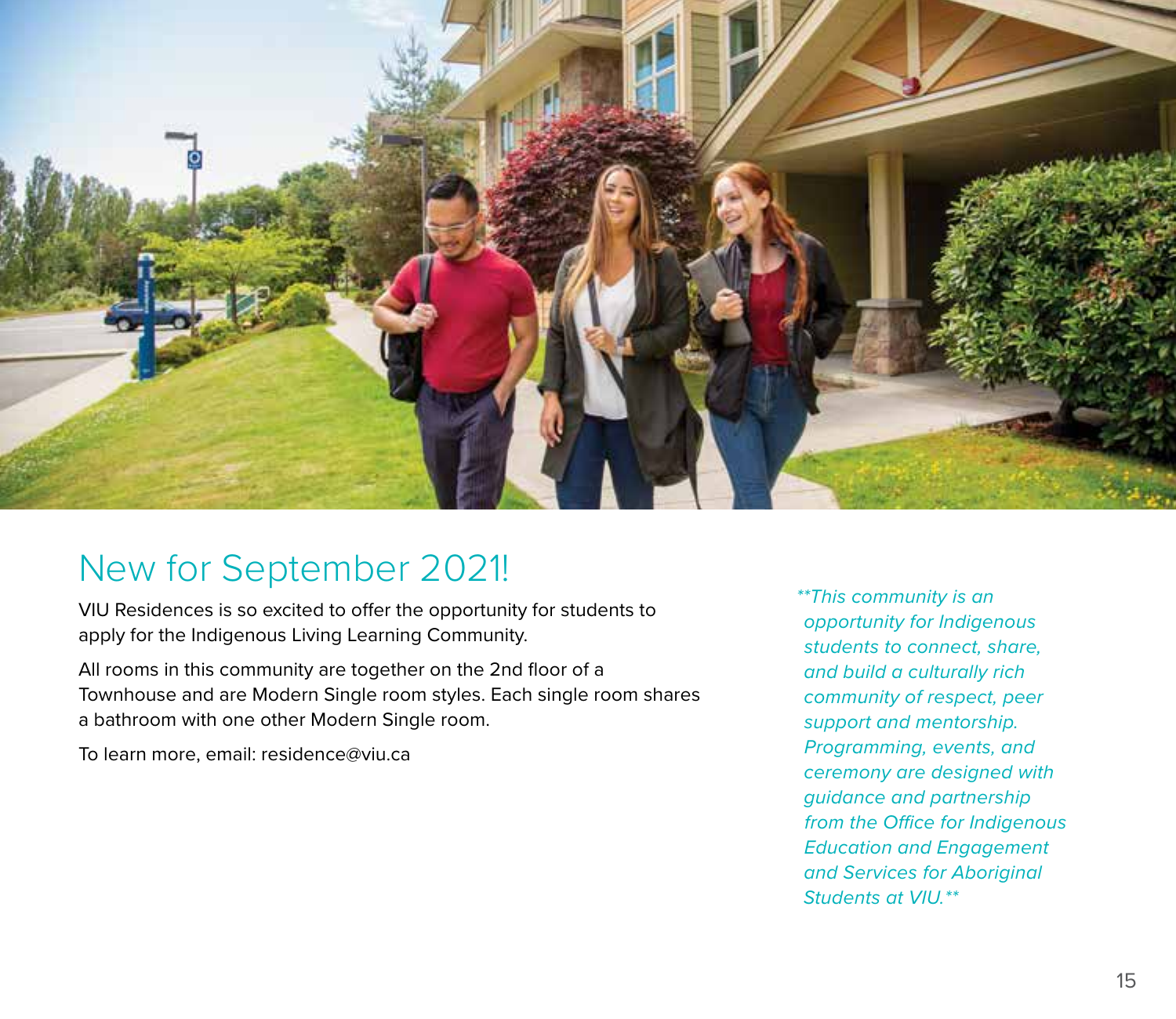

### New for September 2021!

VIU Residences is so excited to offer the opportunity for students to apply for the Indigenous Living Learning Community.

All rooms in this community are together on the 2nd floor of a Townhouse and are Modern Single room styles. Each single room shares a bathroom with one other Modern Single room.

To learn more, email: residence@viu.ca

*\*\*This community is an opportunity for Indigenous students to connect, share, and build a culturally rich community of respect, peer support and mentorship. Programming, events, and ceremony are designed with guidance and partnership from the Office for Indigenous Education and Engagement and Services for Aboriginal Students at VIU.\*\**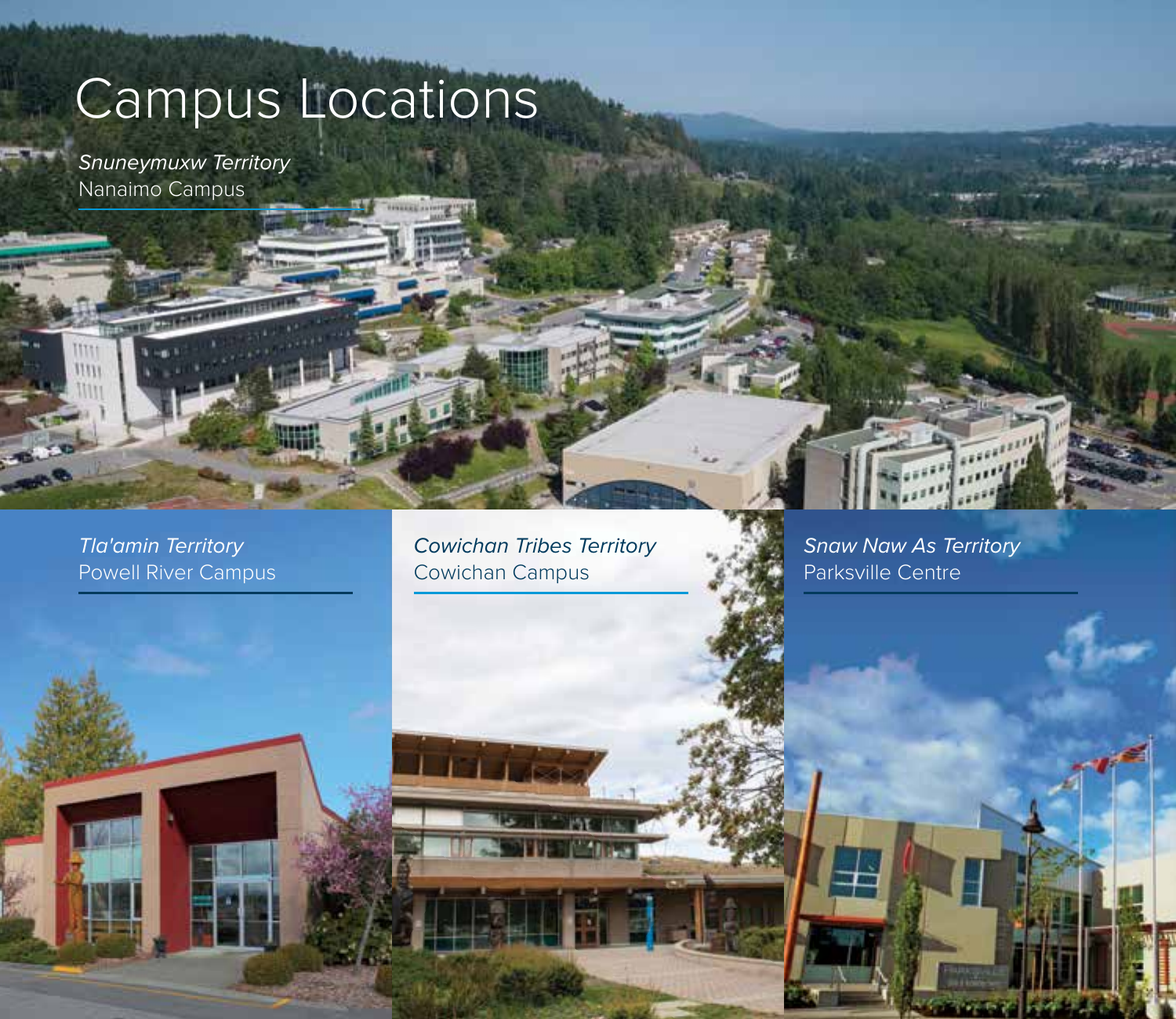### Campus Locations

*Snuneymuxw Territory*  Nanaimo Campus

*Tla'amin Territory*  Powell River Campus

 $\begin{array}{c} \text{mm} \\ \text{mm} \end{array}$ 1111

> *Cowichan Tribes Territory*  Cowichan Campus

> > **JAY**

*Snaw Naw As Territory* Parksville Centre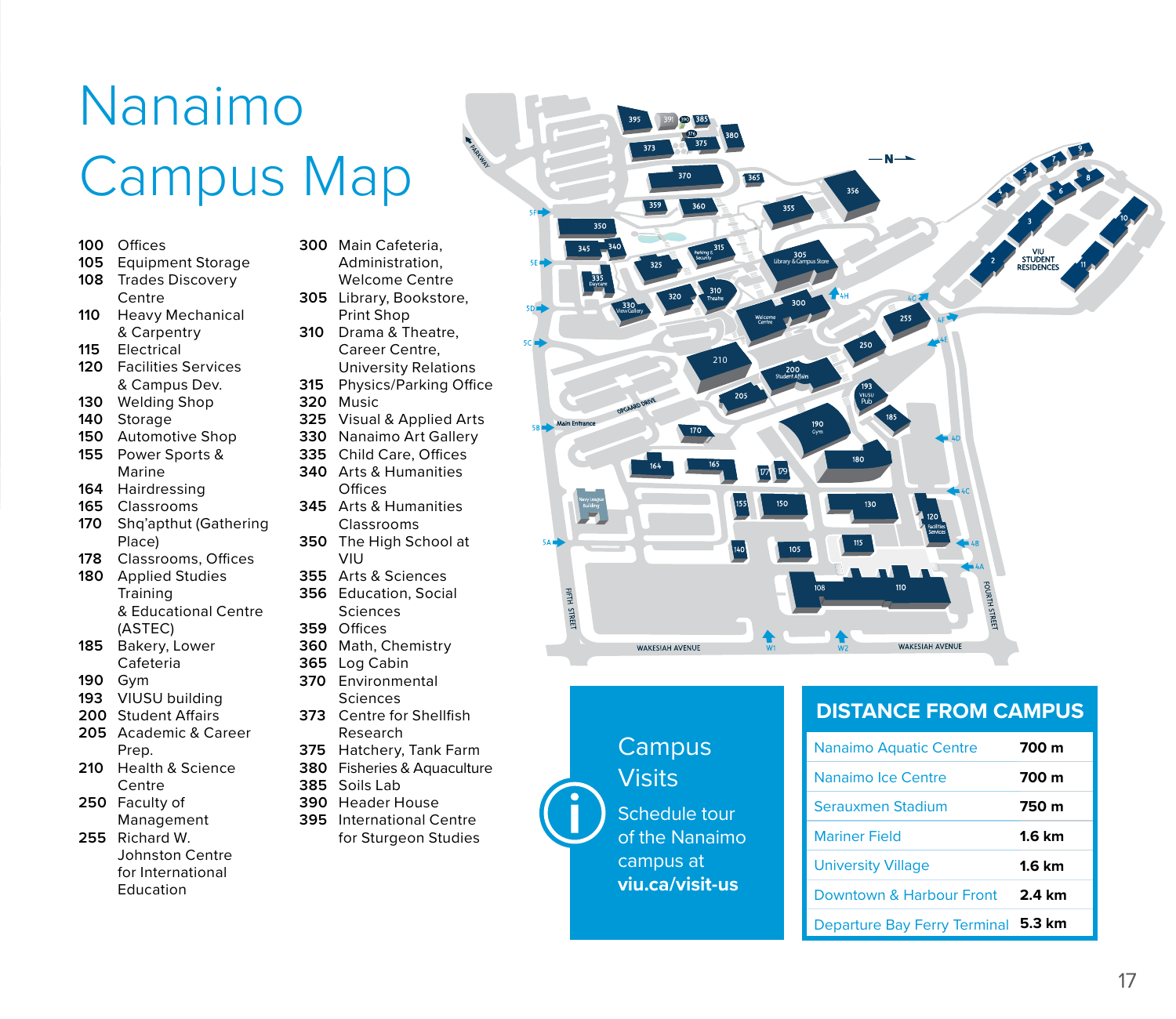### Nanaimo Campus Map

- **100** Offices
- **105** Equipment Storage
- **108** Trades Discovery
- Centre
- **110** Heavy Mechanical & Carpentry
- **115** Electrical
- **120** Facilities Services & Campus Dev.
- **130** Welding Shop
- **140** Storage
- **150** Automotive Shop
- **155** Power Sports & Marine
- **164** Hairdressing
- **165** Classrooms
- **170** Shq'apthut (Gathering Place)
- **178** Classrooms, Offices
- **180** Applied Studies **Training** & Educational Centre (ASTEC)
- **185** Bakery, Lower Cafeteria
- **190** Gym
- **193** VIUSU building
- **200** Student Affairs
- **205** Academic & Career Prep.
- **210** Health & Science Centre
- **250** Faculty of Management
- **255** Richard W. Johnston Centre for International Education
- **300** Main Cafeteria, Administration, Welcome Centre
- **305** Library, Bookstore, Print Shop
- **310** Drama & Theatre, Career Centre, University Relations
- **315** Physics/Parking Office
- **320** Music
- **325** Visual & Applied Arts
- **330** Nanaimo Art Gallery
- **335** Child Care, Offices **340** Arts & Humanities **Offices**
- **345** Arts & Humanities Classrooms
- **350** The High School at VIU
- **355** Arts & Sciences
- **356** Education, Social Sciences
- **359** Offices
- **360** Math, Chemistry
- **365** Log Cabin
- **370** Environmental **Sciences**
- **373** Centre for Shellfish Research
- **375** Hatchery, Tank Farm
- **380** Fisheries & Aquaculture
- **385** Soils Lab
- **390** Header House
- **395** International Centre for Sturgeon Studies



#### **DISTANCE FROM CAMPUS**

**Campus Visits** 

Schedule tour of the Nanaimo campus at **viu.ca/visit-us**

| <b>Nanaimo Aquatic Centre</b>       | 700 m            |
|-------------------------------------|------------------|
| Nanaimo Ice Centre                  | 700 m            |
| Serauxmen Stadium                   | 750 m            |
| <b>Mariner Field</b>                | $1.6 \text{ km}$ |
| <b>University Village</b>           | $1.6 \text{ km}$ |
| Downtown & Harbour Front            | 2.4 km           |
| Departure Bay Ferry Terminal 5.3 km |                  |